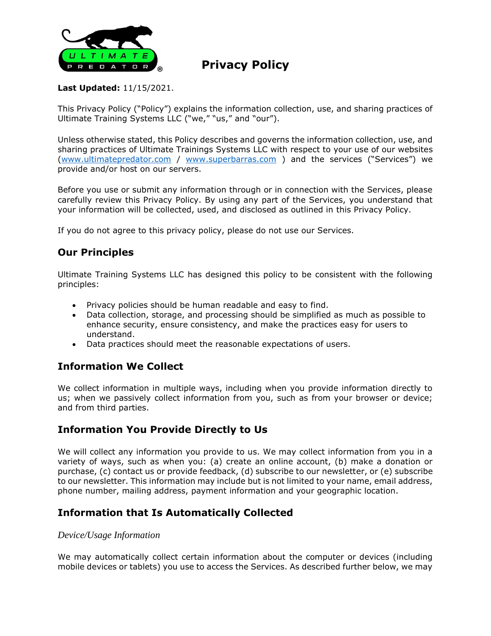

# **Privacy Policy**

#### **Last Updated:** 11/15/2021.

This Privacy Policy ("Policy") explains the information collection, use, and sharing practices of Ultimate Training Systems LLC ("we," "us," and "our").

Unless otherwise stated, this Policy describes and governs the information collection, use, and sharing practices of Ultimate Trainings Systems LLC with respect to your use of our websites [\(www.ultimatepredator.com](http://www.ultimatepredator.com/) / [www.superbarras.com](http://www.superbarras.com/) ) and the services ("Services") we provide and/or host on our servers.

Before you use or submit any information through or in connection with the Services, please carefully review this Privacy Policy. By using any part of the Services, you understand that your information will be collected, used, and disclosed as outlined in this Privacy Policy.

If you do not agree to this privacy policy, please do not use our Services.

# **Our Principles**

Ultimate Training Systems LLC has designed this policy to be consistent with the following principles:

- Privacy policies should be human readable and easy to find.
- Data collection, storage, and processing should be simplified as much as possible to enhance security, ensure consistency, and make the practices easy for users to understand.
- Data practices should meet the reasonable expectations of users.

## **Information We Collect**

We collect information in multiple ways, including when you provide information directly to us; when we passively collect information from you, such as from your browser or device; and from third parties.

## **Information You Provide Directly to Us**

We will collect any information you provide to us. We may collect information from you in a variety of ways, such as when you: (a) create an online account, (b) make a donation or purchase, (c) contact us or provide feedback, (d) subscribe to our newsletter, or (e) subscribe to our newsletter. This information may include but is not limited to your name, email address, phone number, mailing address, payment information and your geographic location.

## **Information that Is Automatically Collected**

#### *Device/Usage Information*

We may automatically collect certain information about the computer or devices (including mobile devices or tablets) you use to access the Services. As described further below, we may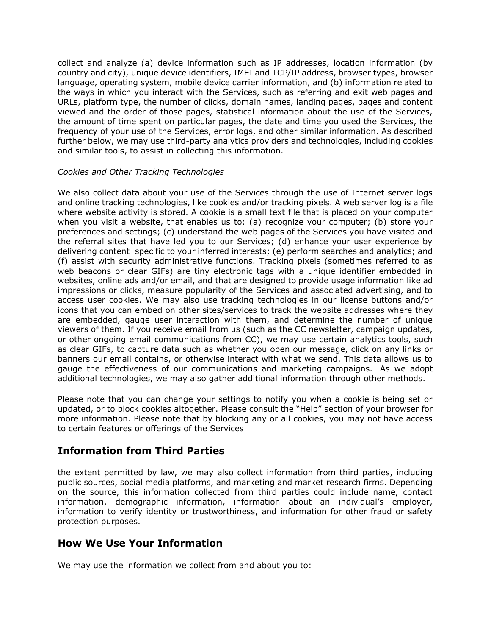collect and analyze (a) device information such as IP addresses, location information (by country and city), unique device identifiers, IMEI and TCP/IP address, browser types, browser language, operating system, mobile device carrier information, and (b) information related to the ways in which you interact with the Services, such as referring and exit web pages and URLs, platform type, the number of clicks, domain names, landing pages, pages and content viewed and the order of those pages, statistical information about the use of the Services, the amount of time spent on particular pages, the date and time you used the Services, the frequency of your use of the Services, error logs, and other similar information. As described further below, we may use third-party analytics providers and technologies, including cookies and similar tools, to assist in collecting this information.

#### *Cookies and Other Tracking Technologies*

We also collect data about your use of the Services through the use of Internet server logs and online tracking technologies, like cookies and/or tracking pixels. A web server log is a file where website activity is stored. A cookie is a small text file that is placed on your computer when you visit a website, that enables us to: (a) recognize your computer; (b) store your preferences and settings; (c) understand the web pages of the Services you have visited and the referral sites that have led you to our Services; (d) enhance your user experience by delivering content specific to your inferred interests; (e) perform searches and analytics; and (f) assist with security administrative functions. Tracking pixels (sometimes referred to as web beacons or clear GIFs) are tiny electronic tags with a unique identifier embedded in websites, online ads and/or email, and that are designed to provide usage information like ad impressions or clicks, measure popularity of the Services and associated advertising, and to access user cookies. We may also use tracking technologies in our license buttons and/or icons that you can embed on other sites/services to track the website addresses where they are embedded, gauge user interaction with them, and determine the number of unique viewers of them. If you receive email from us (such as the CC newsletter, campaign updates, or other ongoing email communications from CC), we may use certain analytics tools, such as clear GIFs, to capture data such as whether you open our message, click on any links or banners our email contains, or otherwise interact with what we send. This data allows us to gauge the effectiveness of our communications and marketing campaigns. As we adopt additional technologies, we may also gather additional information through other methods.

Please note that you can change your settings to notify you when a cookie is being set or updated, or to block cookies altogether. Please consult the "Help" section of your browser for more information. Please note that by blocking any or all cookies, you may not have access to certain features or offerings of the Services

## **Information from Third Parties**

the extent permitted by law, we may also collect information from third parties, including public sources, social media platforms, and marketing and market research firms. Depending on the source, this information collected from third parties could include name, contact information, demographic information, information about an individual's employer, information to verify identity or trustworthiness, and information for other fraud or safety protection purposes.

## **How We Use Your Information**

We may use the information we collect from and about you to: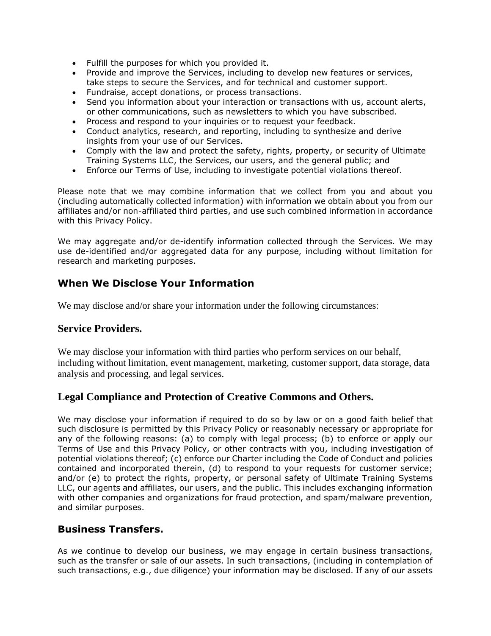- Fulfill the purposes for which you provided it.
- Provide and improve the Services, including to develop new features or services, take steps to secure the Services, and for technical and customer support.
- Fundraise, accept donations, or process transactions.
- Send you information about your interaction or transactions with us, account alerts, or other communications, such as newsletters to which you have subscribed.
- Process and respond to your inquiries or to request your feedback.
- Conduct analytics, research, and reporting, including to synthesize and derive insights from your use of our Services.
- Comply with the law and protect the safety, rights, property, or security of Ultimate Training Systems LLC, the Services, our users, and the general public; and
- Enforce our Terms of Use, including to investigate potential violations thereof.

Please note that we may combine information that we collect from you and about you (including automatically collected information) with information we obtain about you from our affiliates and/or non-affiliated third parties, and use such combined information in accordance with this Privacy Policy.

We may aggregate and/or de-identify information collected through the Services. We may use de-identified and/or aggregated data for any purpose, including without limitation for research and marketing purposes.

## **When We Disclose Your Information**

We may disclose and/or share your information under the following circumstances:

#### **Service Providers.**

We may disclose your information with third parties who perform services on our behalf, including without limitation, event management, marketing, customer support, data storage, data analysis and processing, and legal services.

#### **Legal Compliance and Protection of Creative Commons and Others.**

We may disclose your information if required to do so by law or on a good faith belief that such disclosure is permitted by this Privacy Policy or reasonably necessary or appropriate for any of the following reasons: (a) to comply with legal process; (b) to enforce or apply our Terms of Use and this Privacy Policy, or other contracts with you, including investigation of potential violations thereof; (c) enforce our Charter including the Code of Conduct and policies contained and incorporated therein, (d) to respond to your requests for customer service; and/or (e) to protect the rights, property, or personal safety of Ultimate Training Systems LLC, our agents and affiliates, our users, and the public. This includes exchanging information with other companies and organizations for fraud protection, and spam/malware prevention, and similar purposes.

#### **Business Transfers.**

As we continue to develop our business, we may engage in certain business transactions, such as the transfer or sale of our assets. In such transactions, (including in contemplation of such transactions, e.g., due diligence) your information may be disclosed. If any of our assets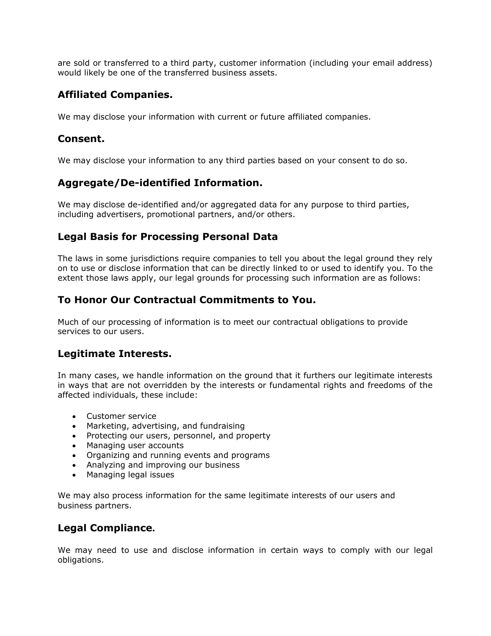are sold or transferred to a third party, customer information (including your email address) would likely be one of the transferred business assets.

## **Affiliated Companies.**

We may disclose your information with current or future affiliated companies.

#### **Consent.**

We may disclose your information to any third parties based on your consent to do so.

## **Aggregate/De-identified Information.**

We may disclose de-identified and/or aggregated data for any purpose to third parties, including advertisers, promotional partners, and/or others.

#### **Legal Basis for Processing Personal Data**

The laws in some jurisdictions require companies to tell you about the legal ground they rely on to use or disclose information that can be directly linked to or used to identify you. To the extent those laws apply, our legal grounds for processing such information are as follows:

#### **To Honor Our Contractual Commitments to You.**

Much of our processing of information is to meet our contractual obligations to provide services to our users.

#### **Legitimate Interests.**

In many cases, we handle information on the ground that it furthers our legitimate interests in ways that are not overridden by the interests or fundamental rights and freedoms of the affected individuals, these include:

- Customer service
- Marketing, advertising, and fundraising
- Protecting our users, personnel, and property
- Managing user accounts
- Organizing and running events and programs
- Analyzing and improving our business
- Managing legal issues

We may also process information for the same legitimate interests of our users and business partners.

#### **Legal Compliance.**

We may need to use and disclose information in certain ways to comply with our legal obligations.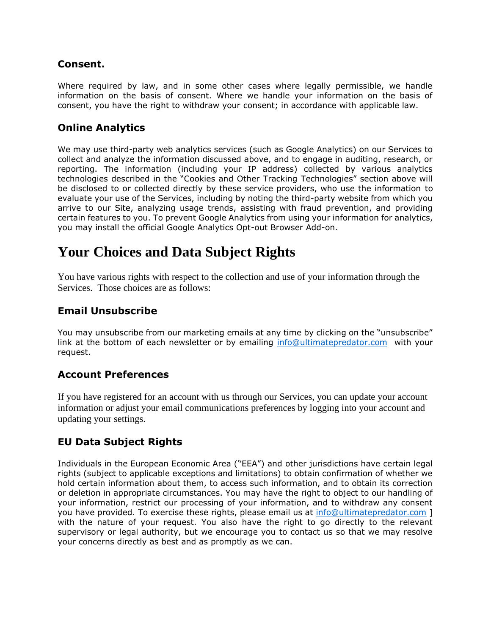#### **Consent.**

Where required by law, and in some other cases where legally permissible, we handle information on the basis of consent. Where we handle your information on the basis of consent, you have the right to withdraw your consent; in accordance with applicable law.

# **Online Analytics**

We may use third-party web analytics services (such as Google Analytics) on our Services to collect and analyze the information discussed above, and to engage in auditing, research, or reporting. The information (including your IP address) collected by various analytics technologies described in the "Cookies and Other Tracking Technologies" section above will be disclosed to or collected directly by these service providers, who use the information to evaluate your use of the Services, including by noting the third-party website from which you arrive to our Site, analyzing usage trends, assisting with fraud prevention, and providing certain features to you. To prevent Google Analytics from using your information for analytics, you may install the official Google Analytics Opt-out Browser Add-on.

# **Your Choices and Data Subject Rights**

You have various rights with respect to the collection and use of your information through the Services. Those choices are as follows:

## **Email Unsubscribe**

You may unsubscribe from our marketing emails at any time by clicking on the "unsubscribe" link at the bottom of each newsletter or by emailing [info@ultimatepredator.com](mailto:info@ultimatepredator.com) with your request.

## **Account Preferences**

If you have registered for an account with us through our Services, you can update your account information or adjust your email communications preferences by logging into your account and updating your settings.

# **EU Data Subject Rights**

Individuals in the European Economic Area ("EEA") and other jurisdictions have certain legal rights (subject to applicable exceptions and limitations) to obtain confirmation of whether we hold certain information about them, to access such information, and to obtain its correction or deletion in appropriate circumstances. You may have the right to object to our handling of your information, restrict our processing of your information, and to withdraw any consent you have provided. To exercise these rights, please email us at [info@ultimatepredator.com](mailto:info@ultimatepredator.com) ] with the nature of your request. You also have the right to go directly to the relevant supervisory or legal authority, but we encourage you to contact us so that we may resolve your concerns directly as best and as promptly as we can.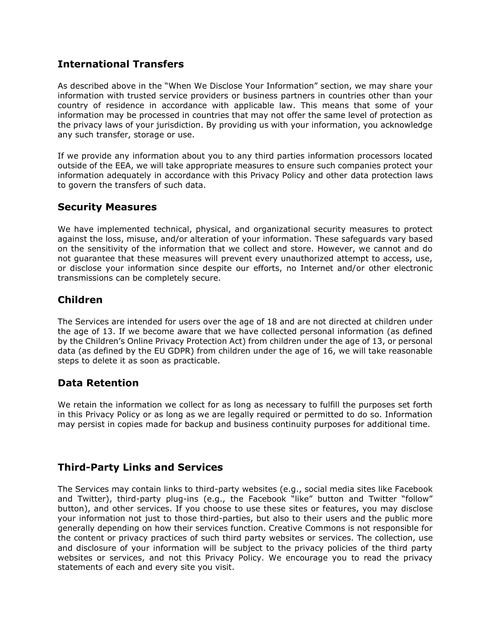## **International Transfers**

As described above in the "When We Disclose Your Information" section, we may share your information with trusted service providers or business partners in countries other than your country of residence in accordance with applicable law. This means that some of your information may be processed in countries that may not offer the same level of protection as the privacy laws of your jurisdiction. By providing us with your information, you acknowledge any such transfer, storage or use.

If we provide any information about you to any third parties information processors located outside of the EEA, we will take appropriate measures to ensure such companies protect your information adequately in accordance with this Privacy Policy and other data protection laws to govern the transfers of such data.

#### **Security Measures**

We have implemented technical, physical, and organizational security measures to protect against the loss, misuse, and/or alteration of your information. These safeguards vary based on the sensitivity of the information that we collect and store. However, we cannot and do not guarantee that these measures will prevent every unauthorized attempt to access, use, or disclose your information since despite our efforts, no Internet and/or other electronic transmissions can be completely secure.

# **Children**

The Services are intended for users over the age of 18 and are not directed at children under the age of 13. If we become aware that we have collected personal information (as defined by the Children's Online Privacy Protection Act) from children under the age of 13, or personal data (as defined by the EU GDPR) from children under the age of 16, we will take reasonable steps to delete it as soon as practicable.

## **Data Retention**

We retain the information we collect for as long as necessary to fulfill the purposes set forth in this Privacy Policy or as long as we are legally required or permitted to do so. Information may persist in copies made for backup and business continuity purposes for additional time.

## **Third-Party Links and Services**

The Services may contain links to third-party websites (e.g., social media sites like Facebook and Twitter), third-party plug-ins (e.g., the Facebook "like" button and Twitter "follow" button), and other services. If you choose to use these sites or features, you may disclose your information not just to those third-parties, but also to their users and the public more generally depending on how their services function. Creative Commons is not responsible for the content or privacy practices of such third party websites or services. The collection, use and disclosure of your information will be subject to the privacy policies of the third party websites or services, and not this Privacy Policy. We encourage you to read the privacy statements of each and every site you visit.